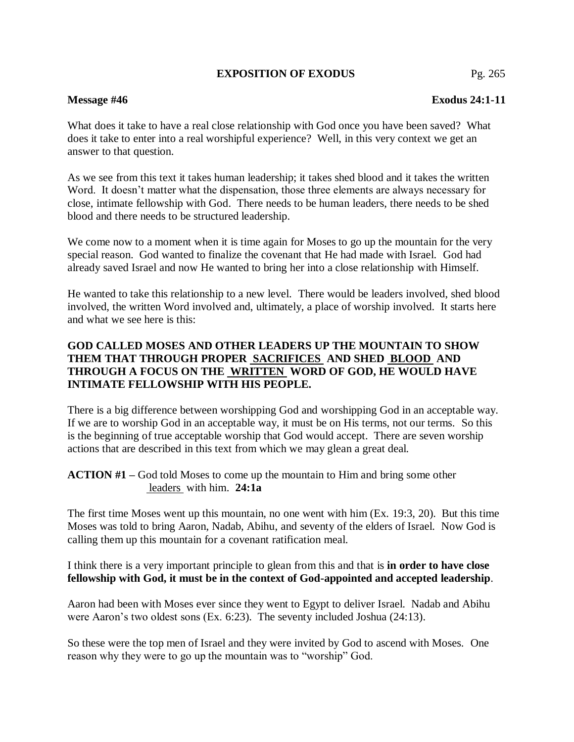## **EXPOSITION OF EXODUS** Pg. 265

# **Message #46 Exodus 24:1-11**

What does it take to have a real close relationship with God once you have been saved? What does it take to enter into a real worshipful experience? Well, in this very context we get an answer to that question.

As we see from this text it takes human leadership; it takes shed blood and it takes the written Word. It doesn't matter what the dispensation, those three elements are always necessary for close, intimate fellowship with God. There needs to be human leaders, there needs to be shed blood and there needs to be structured leadership.

We come now to a moment when it is time again for Moses to go up the mountain for the very special reason. God wanted to finalize the covenant that He had made with Israel. God had already saved Israel and now He wanted to bring her into a close relationship with Himself.

He wanted to take this relationship to a new level. There would be leaders involved, shed blood involved, the written Word involved and, ultimately, a place of worship involved. It starts here and what we see here is this:

# **GOD CALLED MOSES AND OTHER LEADERS UP THE MOUNTAIN TO SHOW THEM THAT THROUGH PROPER SACRIFICES AND SHED BLOOD AND THROUGH A FOCUS ON THE WRITTEN WORD OF GOD, HE WOULD HAVE INTIMATE FELLOWSHIP WITH HIS PEOPLE.**

There is a big difference between worshipping God and worshipping God in an acceptable way. If we are to worship God in an acceptable way, it must be on His terms, not our terms. So this is the beginning of true acceptable worship that God would accept. There are seven worship actions that are described in this text from which we may glean a great deal.

**ACTION #1 –** God told Moses to come up the mountain to Him and bring some other leaders with him. **24:1a**

The first time Moses went up this mountain, no one went with him (Ex. 19:3, 20). But this time Moses was told to bring Aaron, Nadab, Abihu, and seventy of the elders of Israel. Now God is calling them up this mountain for a covenant ratification meal.

I think there is a very important principle to glean from this and that is **in order to have close fellowship with God, it must be in the context of God-appointed and accepted leadership**.

Aaron had been with Moses ever since they went to Egypt to deliver Israel. Nadab and Abihu were Aaron's two oldest sons (Ex. 6:23). The seventy included Joshua (24:13).

So these were the top men of Israel and they were invited by God to ascend with Moses. One reason why they were to go up the mountain was to "worship" God.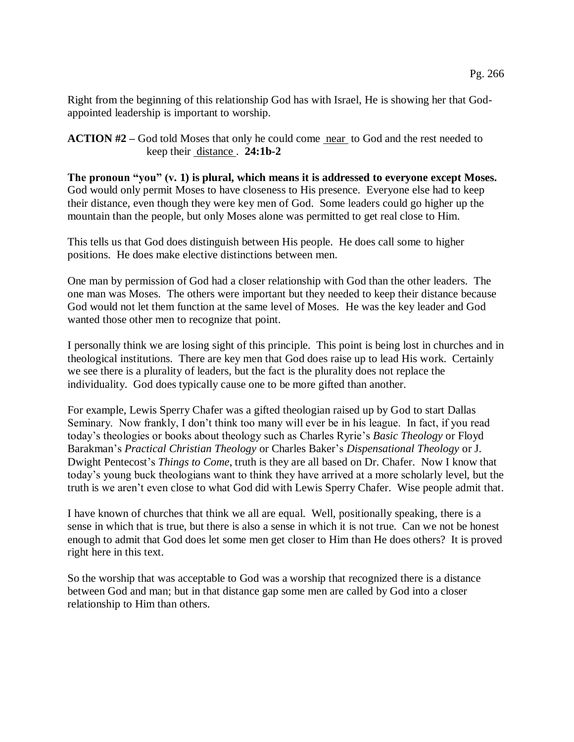Pg. 266

Right from the beginning of this relationship God has with Israel, He is showing her that Godappointed leadership is important to worship.

**ACTION #2** – God told Moses that only he could come near to God and the rest needed to keep their distance . **24:1b-2**

**The pronoun "you" (v. 1) is plural, which means it is addressed to everyone except Moses.** God would only permit Moses to have closeness to His presence. Everyone else had to keep their distance, even though they were key men of God. Some leaders could go higher up the mountain than the people, but only Moses alone was permitted to get real close to Him.

This tells us that God does distinguish between His people. He does call some to higher positions. He does make elective distinctions between men.

One man by permission of God had a closer relationship with God than the other leaders. The one man was Moses. The others were important but they needed to keep their distance because God would not let them function at the same level of Moses. He was the key leader and God wanted those other men to recognize that point.

I personally think we are losing sight of this principle. This point is being lost in churches and in theological institutions. There are key men that God does raise up to lead His work. Certainly we see there is a plurality of leaders, but the fact is the plurality does not replace the individuality. God does typically cause one to be more gifted than another.

For example, Lewis Sperry Chafer was a gifted theologian raised up by God to start Dallas Seminary. Now frankly, I don't think too many will ever be in his league. In fact, if you read today's theologies or books about theology such as Charles Ryrie's *Basic Theology* or Floyd Barakman's *Practical Christian Theology* or Charles Baker's *Dispensational Theology* or J. Dwight Pentecost's *Things to Come*, truth is they are all based on Dr. Chafer. Now I know that today's young buck theologians want to think they have arrived at a more scholarly level, but the truth is we aren't even close to what God did with Lewis Sperry Chafer. Wise people admit that.

I have known of churches that think we all are equal. Well, positionally speaking, there is a sense in which that is true, but there is also a sense in which it is not true. Can we not be honest enough to admit that God does let some men get closer to Him than He does others? It is proved right here in this text.

So the worship that was acceptable to God was a worship that recognized there is a distance between God and man; but in that distance gap some men are called by God into a closer relationship to Him than others.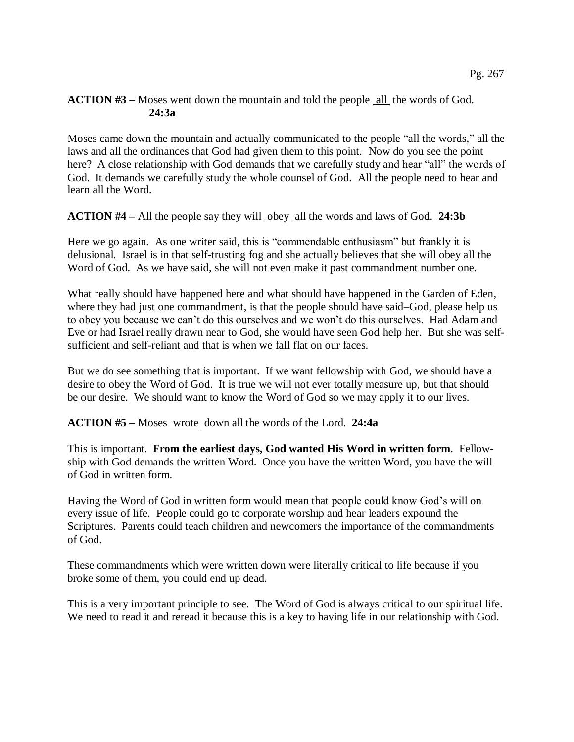# **ACTION #3 –** Moses went down the mountain and told the people all the words of God. **24:3a**

Moses came down the mountain and actually communicated to the people "all the words," all the laws and all the ordinances that God had given them to this point. Now do you see the point here? A close relationship with God demands that we carefully study and hear "all" the words of God. It demands we carefully study the whole counsel of God. All the people need to hear and learn all the Word.

**ACTION #4** – All the people say they will obey all the words and laws of God. 24:3b

Here we go again. As one writer said, this is "commendable enthusiasm" but frankly it is delusional. Israel is in that self-trusting fog and she actually believes that she will obey all the Word of God. As we have said, she will not even make it past commandment number one.

What really should have happened here and what should have happened in the Garden of Eden, where they had just one commandment, is that the people should have said–God, please help us to obey you because we can't do this ourselves and we won't do this ourselves. Had Adam and Eve or had Israel really drawn near to God, she would have seen God help her. But she was selfsufficient and self-reliant and that is when we fall flat on our faces.

But we do see something that is important. If we want fellowship with God, we should have a desire to obey the Word of God. It is true we will not ever totally measure up, but that should be our desire. We should want to know the Word of God so we may apply it to our lives.

**ACTION #5 –** Moses wrote down all the words of the Lord. **24:4a**

This is important. **From the earliest days, God wanted His Word in written form**. Fellowship with God demands the written Word. Once you have the written Word, you have the will of God in written form.

Having the Word of God in written form would mean that people could know God's will on every issue of life. People could go to corporate worship and hear leaders expound the Scriptures. Parents could teach children and newcomers the importance of the commandments of God.

These commandments which were written down were literally critical to life because if you broke some of them, you could end up dead.

This is a very important principle to see. The Word of God is always critical to our spiritual life. We need to read it and reread it because this is a key to having life in our relationship with God.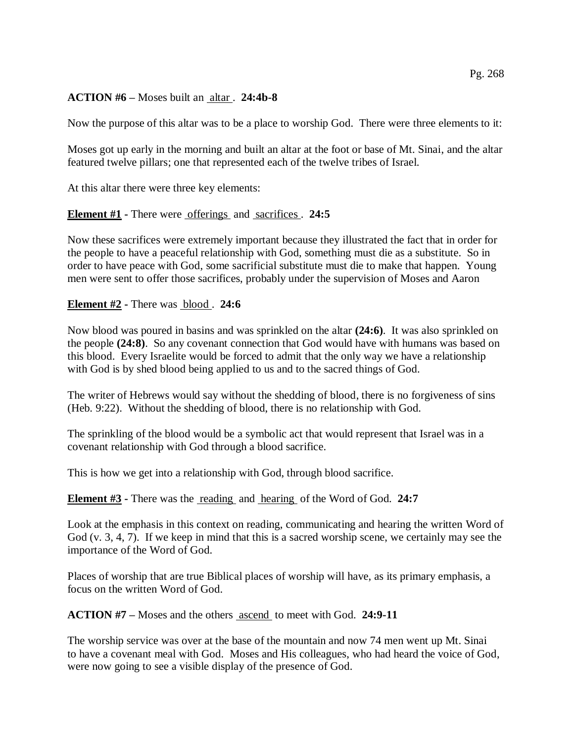### Pg. 268

### **ACTION #6 –** Moses built an altar . **24:4b-8**

Now the purpose of this altar was to be a place to worship God. There were three elements to it:

Moses got up early in the morning and built an altar at the foot or base of Mt. Sinai, and the altar featured twelve pillars; one that represented each of the twelve tribes of Israel.

At this altar there were three key elements:

### **Element #1 -** There were offerings and sacrifices . **24:5**

Now these sacrifices were extremely important because they illustrated the fact that in order for the people to have a peaceful relationship with God, something must die as a substitute. So in order to have peace with God, some sacrificial substitute must die to make that happen. Young men were sent to offer those sacrifices, probably under the supervision of Moses and Aaron

#### **Element #2 -** There was blood . **24:6**

Now blood was poured in basins and was sprinkled on the altar **(24:6)**. It was also sprinkled on the people **(24:8)**. So any covenant connection that God would have with humans was based on this blood. Every Israelite would be forced to admit that the only way we have a relationship with God is by shed blood being applied to us and to the sacred things of God.

The writer of Hebrews would say without the shedding of blood, there is no forgiveness of sins (Heb. 9:22). Without the shedding of blood, there is no relationship with God.

The sprinkling of the blood would be a symbolic act that would represent that Israel was in a covenant relationship with God through a blood sacrifice.

This is how we get into a relationship with God, through blood sacrifice.

#### **Element #3 -** There was the <u>reading</u> and hearing of the Word of God. 24:7

Look at the emphasis in this context on reading, communicating and hearing the written Word of God (v. 3, 4, 7). If we keep in mind that this is a sacred worship scene, we certainly may see the importance of the Word of God.

Places of worship that are true Biblical places of worship will have, as its primary emphasis, a focus on the written Word of God.

**ACTION #7 –** Moses and the others ascend to meet with God. **24:9-11**

The worship service was over at the base of the mountain and now 74 men went up Mt. Sinai to have a covenant meal with God. Moses and His colleagues, who had heard the voice of God, were now going to see a visible display of the presence of God.